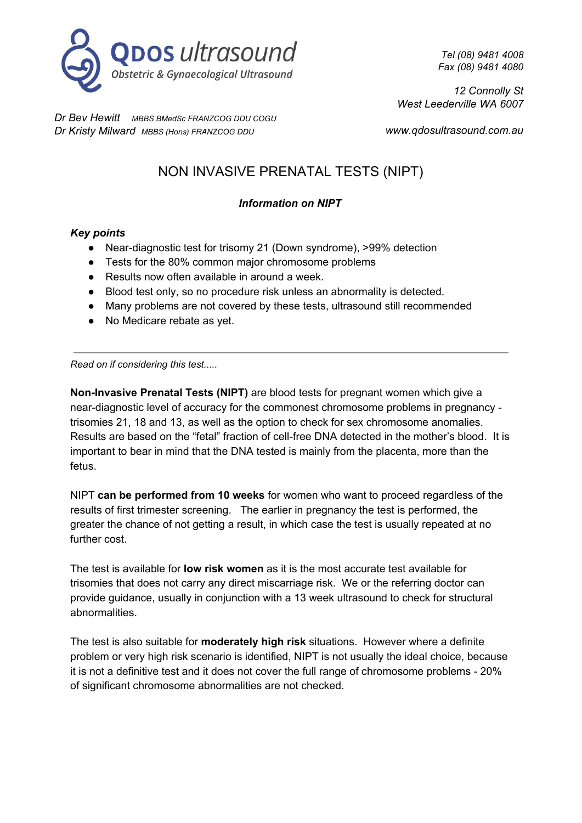

*Tel (08) 9481 4008 Fax (08) 9481 4080*

*12 Connolly St West Leederville WA 6007*

*Dr Bev Hewitt MBBS BMedSc FRANZCOG DDU COGU Dr Kristy Milward MBBS (Hons) FRANZCOG DDU*

*www.qdosultrasound.com.au*

# NON INVASIVE PRENATAL TESTS (NIPT)

## *Information on NIPT*

## *Key points*

- Near-diagnostic test for trisomy 21 (Down syndrome), >99% detection
- Tests for the 80% common major chromosome problems
- Results now often available in around a week.
- Blood test only, so no procedure risk unless an abnormality is detected.
- Many problems are not covered by these tests, ultrasound still recommended
- No Medicare rebate as yet.

*Read on if considering this test.....*

**Non-Invasive Prenatal Tests (NIPT)** are blood tests for pregnant women which give a near-diagnostic level of accuracy for the commonest chromosome problems in pregnancy trisomies 21, 18 and 13, as well as the option to check for sex chromosome anomalies. Results are based on the "fetal" fraction of cell-free DNA detected in the mother's blood. It is important to bear in mind that the DNA tested is mainly from the placenta, more than the fetus.

NIPT **can be performed from 10 weeks** for women who want to proceed regardless of the results of first trimester screening. The earlier in pregnancy the test is performed, the greater the chance of not getting a result, in which case the test is usually repeated at no further cost.

The test is available for **low risk women** as it is the most accurate test available for trisomies that does not carry any direct miscarriage risk. We or the referring doctor can provide guidance, usually in conjunction with a 13 week ultrasound to check for structural abnormalities.

The test is also suitable for **moderately high risk** situations. However where a definite problem or very high risk scenario is identified, NIPT is not usually the ideal choice, because it is not a definitive test and it does not cover the full range of chromosome problems - 20% of significant chromosome abnormalities are not checked.